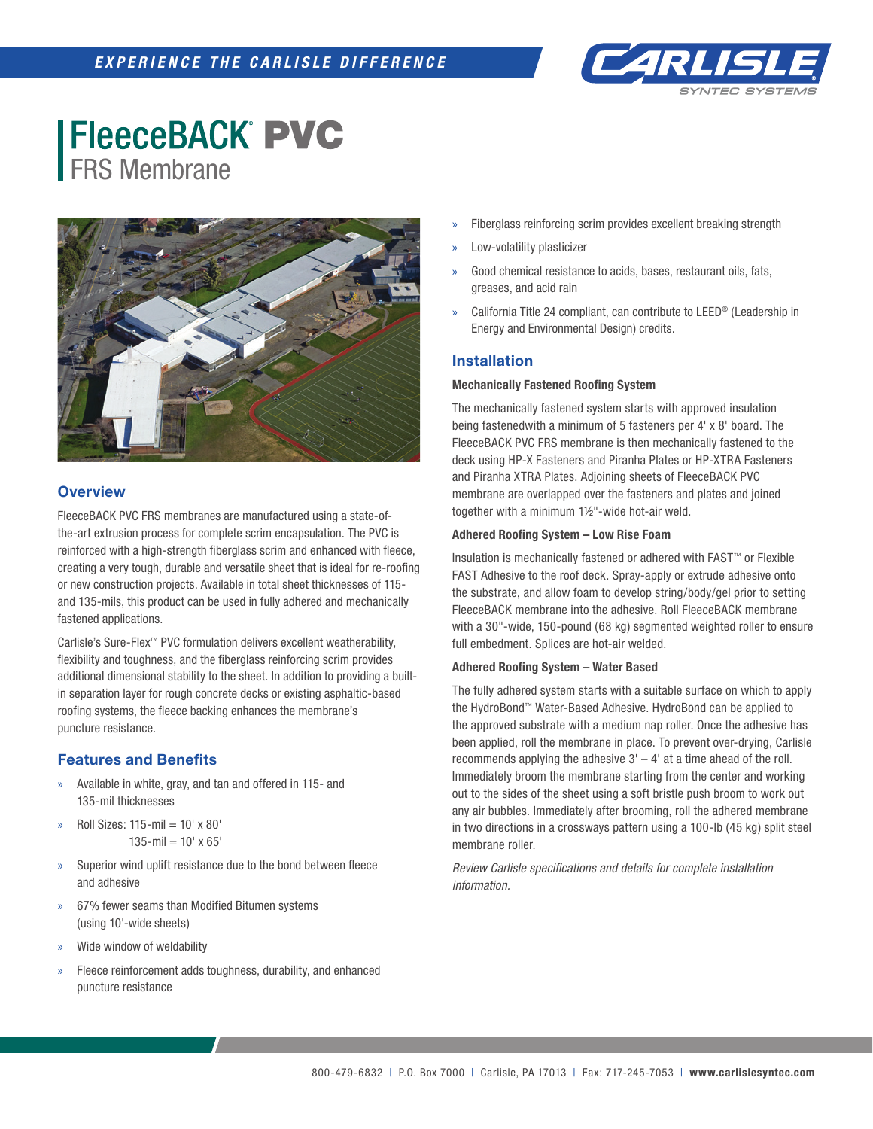

# **FleeceBACK PVC** FRS Membrane



## **Overview**

FleeceBACK PVC FRS membranes are manufactured using a state-ofthe-art extrusion process for complete scrim encapsulation. The PVC is reinforced with a high-strength fiberglass scrim and enhanced with fleece, creating a very tough, durable and versatile sheet that is ideal for re-roofing or new construction projects. Available in total sheet thicknesses of 115 and 135-mils, this product can be used in fully adhered and mechanically fastened applications.

Carlisle's Sure-Flex™ PVC formulation delivers excellent weatherability, flexibility and toughness, and the fiberglass reinforcing scrim provides additional dimensional stability to the sheet. In addition to providing a builtin separation layer for rough concrete decks or existing asphaltic-based roofing systems, the fleece backing enhances the membrane's puncture resistance.

### **Features and Benefits**

- » Available in white, gray, and tan and offered in 115- and 135-mil thicknesses
- » Roll Sizes: 115-mil = 10' x 80'  $135$ -mil =  $10'$  x 65'
- » Superior wind uplift resistance due to the bond between fleece and adhesive
- » 67% fewer seams than Modified Bitumen systems (using 10'-wide sheets)
- » Wide window of weldability
- Fleece reinforcement adds toughness, durability, and enhanced puncture resistance
- Fiberglass reinforcing scrim provides excellent breaking strength
- » Low-volatility plasticizer
- Good chemical resistance to acids, bases, restaurant oils, fats, greases, and acid rain
- » California Title 24 compliant, can contribute to LEED® (Leadership in Energy and Environmental Design) credits.

## **Installation**

#### **Mechanically Fastened Roofing System**

The mechanically fastened system starts with approved insulation being fastenedwith a minimum of 5 fasteners per 4' x 8' board. The FleeceBACK PVC FRS membrane is then mechanically fastened to the deck using HP-X Fasteners and Piranha Plates or HP-XTRA Fasteners and Piranha XTRA Plates. Adjoining sheets of FleeceBACK PVC membrane are overlapped over the fasteners and plates and joined together with a minimum 1½"-wide hot-air weld.

#### **Adhered Roofing System – Low Rise Foam**

Insulation is mechanically fastened or adhered with FAST™ or Flexible FAST Adhesive to the roof deck. Spray-apply or extrude adhesive onto the substrate, and allow foam to develop string/body/gel prior to setting FleeceBACK membrane into the adhesive. Roll FleeceBACK membrane with a 30"-wide, 150-pound (68 kg) segmented weighted roller to ensure full embedment. Splices are hot-air welded.

#### **Adhered Roofing System – Water Based**

The fully adhered system starts with a suitable surface on which to apply the HydroBond™ Water-Based Adhesive. HydroBond can be applied to the approved substrate with a medium nap roller. Once the adhesive has been applied, roll the membrane in place. To prevent over-drying, Carlisle recommends applying the adhesive  $3' - 4'$  at a time ahead of the roll. Immediately broom the membrane starting from the center and working out to the sides of the sheet using a soft bristle push broom to work out any air bubbles. Immediately after brooming, roll the adhered membrane in two directions in a crossways pattern using a 100-lb (45 kg) split steel membrane roller.

*Review Carlisle specifications and details for complete installation information.*